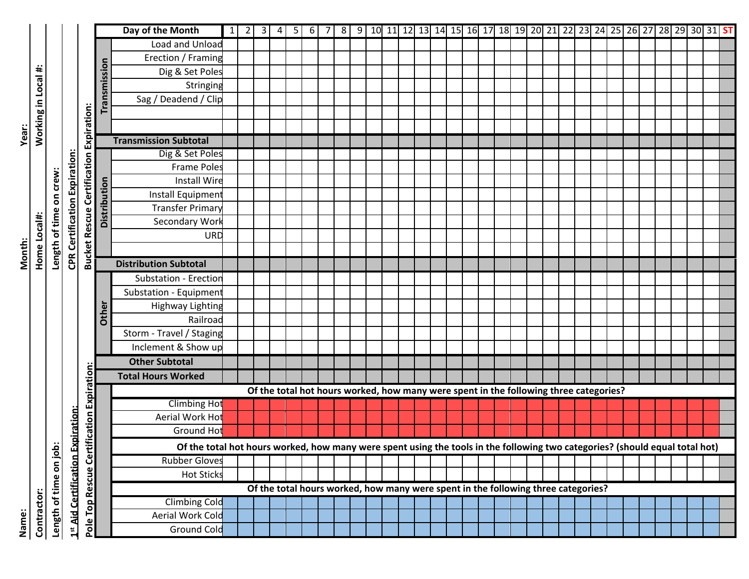|              |                  |                      |                                   |                                                |              | Day of the Month                                                                                                             | $1 \vert 2 \vert$ | $3 \mid 4$ | 5 <sub>l</sub> |  |  |  |  |  |                                                                                       |  |  |  |  |  |  |  | 6 7 8 9 10 11 12 13 14 15 16 17 18 19 20 21 22 23 24 25 26 27 28 29 30 31 <mark>ST</mark> |  |
|--------------|------------------|----------------------|-----------------------------------|------------------------------------------------|--------------|------------------------------------------------------------------------------------------------------------------------------|-------------------|------------|----------------|--|--|--|--|--|---------------------------------------------------------------------------------------|--|--|--|--|--|--|--|-------------------------------------------------------------------------------------------|--|
|              |                  |                      |                                   |                                                |              | Load and Unload                                                                                                              |                   |            |                |  |  |  |  |  |                                                                                       |  |  |  |  |  |  |  |                                                                                           |  |
|              |                  |                      |                                   |                                                |              | Erection / Framing                                                                                                           |                   |            |                |  |  |  |  |  |                                                                                       |  |  |  |  |  |  |  |                                                                                           |  |
|              |                  |                      |                                   |                                                | Transmission | Dig & Set Poles                                                                                                              |                   |            |                |  |  |  |  |  |                                                                                       |  |  |  |  |  |  |  |                                                                                           |  |
|              |                  |                      |                                   |                                                |              | Stringing                                                                                                                    |                   |            |                |  |  |  |  |  |                                                                                       |  |  |  |  |  |  |  |                                                                                           |  |
|              |                  |                      |                                   |                                                |              | Sag / Deadend / Clip                                                                                                         |                   |            |                |  |  |  |  |  |                                                                                       |  |  |  |  |  |  |  |                                                                                           |  |
|              |                  |                      |                                   |                                                |              |                                                                                                                              |                   |            |                |  |  |  |  |  |                                                                                       |  |  |  |  |  |  |  |                                                                                           |  |
|              | Working in Local |                      |                                   |                                                |              |                                                                                                                              |                   |            |                |  |  |  |  |  |                                                                                       |  |  |  |  |  |  |  |                                                                                           |  |
| <b>Year:</b> |                  |                      |                                   | <b>Bucket Rescue Certification Expiration:</b> |              | <b>Transmission Subtotal</b>                                                                                                 |                   |            |                |  |  |  |  |  |                                                                                       |  |  |  |  |  |  |  |                                                                                           |  |
|              |                  |                      |                                   |                                                |              | Dig & Set Poles                                                                                                              |                   |            |                |  |  |  |  |  |                                                                                       |  |  |  |  |  |  |  |                                                                                           |  |
|              |                  |                      |                                   |                                                |              | <b>Frame Poles</b>                                                                                                           |                   |            |                |  |  |  |  |  |                                                                                       |  |  |  |  |  |  |  |                                                                                           |  |
|              |                  | crew:                | Expiration:                       |                                                |              | <b>Install Wire</b>                                                                                                          |                   |            |                |  |  |  |  |  |                                                                                       |  |  |  |  |  |  |  |                                                                                           |  |
|              |                  | $\tilde{\mathbf{5}}$ |                                   |                                                |              | Install Equipment                                                                                                            |                   |            |                |  |  |  |  |  |                                                                                       |  |  |  |  |  |  |  |                                                                                           |  |
|              |                  |                      |                                   |                                                | Distribution | <b>Transfer Primary</b>                                                                                                      |                   |            |                |  |  |  |  |  |                                                                                       |  |  |  |  |  |  |  |                                                                                           |  |
|              |                  |                      |                                   |                                                |              | Secondary Work                                                                                                               |                   |            |                |  |  |  |  |  |                                                                                       |  |  |  |  |  |  |  |                                                                                           |  |
|              | Home Local#      | Length of time       |                                   |                                                |              | URD                                                                                                                          |                   |            |                |  |  |  |  |  |                                                                                       |  |  |  |  |  |  |  |                                                                                           |  |
| Month:       |                  |                      | <b>CPR Certification</b>          |                                                |              |                                                                                                                              |                   |            |                |  |  |  |  |  |                                                                                       |  |  |  |  |  |  |  |                                                                                           |  |
|              |                  |                      |                                   |                                                |              | <b>Distribution Subtotal</b>                                                                                                 |                   |            |                |  |  |  |  |  |                                                                                       |  |  |  |  |  |  |  |                                                                                           |  |
|              |                  |                      |                                   |                                                |              | Substation - Erection                                                                                                        |                   |            |                |  |  |  |  |  |                                                                                       |  |  |  |  |  |  |  |                                                                                           |  |
|              |                  |                      |                                   |                                                |              | Substation - Equipment                                                                                                       |                   |            |                |  |  |  |  |  |                                                                                       |  |  |  |  |  |  |  |                                                                                           |  |
|              |                  |                      |                                   |                                                |              | <b>Highway Lighting</b>                                                                                                      |                   |            |                |  |  |  |  |  |                                                                                       |  |  |  |  |  |  |  |                                                                                           |  |
|              |                  |                      |                                   |                                                | Other        | Railroad                                                                                                                     |                   |            |                |  |  |  |  |  |                                                                                       |  |  |  |  |  |  |  |                                                                                           |  |
|              |                  |                      |                                   |                                                |              | Storm - Travel / Staging                                                                                                     |                   |            |                |  |  |  |  |  |                                                                                       |  |  |  |  |  |  |  |                                                                                           |  |
|              |                  |                      |                                   |                                                |              | Inclement & Show up                                                                                                          |                   |            |                |  |  |  |  |  |                                                                                       |  |  |  |  |  |  |  |                                                                                           |  |
|              |                  |                      |                                   |                                                |              | <b>Other Subtotal</b>                                                                                                        |                   |            |                |  |  |  |  |  |                                                                                       |  |  |  |  |  |  |  |                                                                                           |  |
|              |                  |                      |                                   | <b>ification Expiration</b>                    |              | <b>Total Hours Worked</b>                                                                                                    |                   |            |                |  |  |  |  |  |                                                                                       |  |  |  |  |  |  |  |                                                                                           |  |
|              |                  |                      |                                   |                                                |              |                                                                                                                              |                   |            |                |  |  |  |  |  | Of the total hot hours worked, how many were spent in the following three categories? |  |  |  |  |  |  |  |                                                                                           |  |
|              |                  |                      |                                   |                                                |              | <b>Climbing Hot</b>                                                                                                          |                   |            |                |  |  |  |  |  |                                                                                       |  |  |  |  |  |  |  |                                                                                           |  |
|              |                  |                      |                                   |                                                |              | Aerial Work Hot                                                                                                              |                   |            |                |  |  |  |  |  |                                                                                       |  |  |  |  |  |  |  |                                                                                           |  |
|              |                  |                      |                                   |                                                |              | Ground Hot                                                                                                                   |                   |            |                |  |  |  |  |  |                                                                                       |  |  |  |  |  |  |  |                                                                                           |  |
|              |                  |                      |                                   |                                                |              | Of the total hot hours worked, how many were spent using the tools in the following two categories? (should equal total hot) |                   |            |                |  |  |  |  |  |                                                                                       |  |  |  |  |  |  |  |                                                                                           |  |
|              |                  | on job:              |                                   | اغ<br>ا                                        |              | <b>Rubber Gloves</b>                                                                                                         |                   |            |                |  |  |  |  |  |                                                                                       |  |  |  |  |  |  |  |                                                                                           |  |
|              |                  |                      |                                   |                                                |              | <b>Hot Sticks</b>                                                                                                            |                   |            |                |  |  |  |  |  |                                                                                       |  |  |  |  |  |  |  |                                                                                           |  |
|              |                  |                      |                                   |                                                |              |                                                                                                                              |                   |            |                |  |  |  |  |  | Of the total hours worked, how many were spent in the following three categories?     |  |  |  |  |  |  |  |                                                                                           |  |
|              | Contractor:      | Length of time       | 1st Aid Certification Expiration: | Pole Top Rescue                                |              | <b>Climbing Cold</b>                                                                                                         |                   |            |                |  |  |  |  |  |                                                                                       |  |  |  |  |  |  |  |                                                                                           |  |
|              |                  |                      |                                   |                                                |              | Aerial Work Cold                                                                                                             |                   |            |                |  |  |  |  |  |                                                                                       |  |  |  |  |  |  |  |                                                                                           |  |
| Name:        |                  |                      |                                   |                                                |              | <b>Ground Cold</b>                                                                                                           |                   |            |                |  |  |  |  |  |                                                                                       |  |  |  |  |  |  |  |                                                                                           |  |